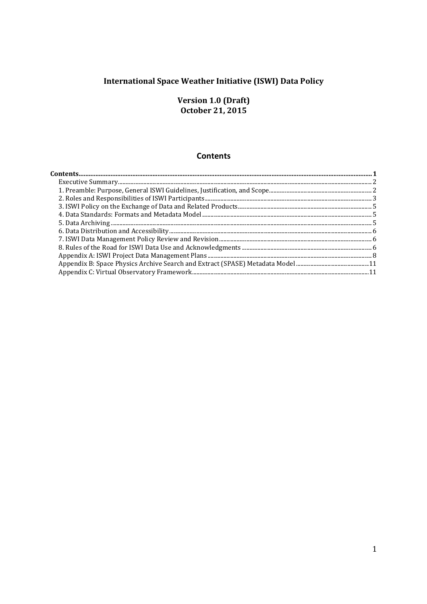# **International Space Weather Initiative (ISWI) Data Policy**

**Version 1.0 (Draft)**<br>October 21, 2015

## **Contents**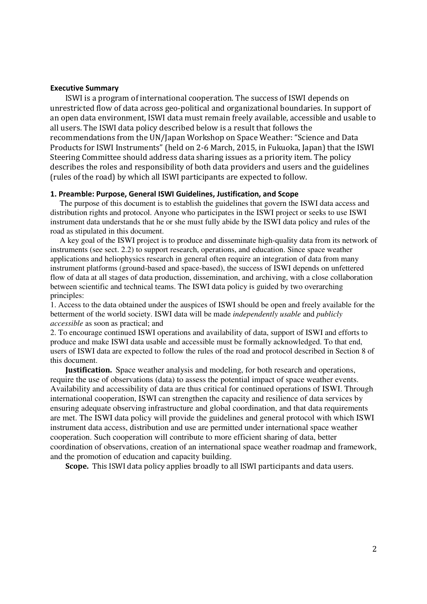#### Executive Summary

 ISWI is a program of international cooperation. The success of ISWI depends on unrestricted flow of data across geo-political and organizational boundaries. In support of an open data environment, ISWI data must remain freely available, accessible and usable to all users. The ISWI data policy described below is a result that follows the recommendations from the UN/Japan Workshop on Space Weather: "Science and Data Products for ISWI Instruments" (held on 2-6 March, 2015, in Fukuoka, Japan) that the ISWI Steering Committee should address data sharing issues as a priority item. The policy describes the roles and responsibility of both data providers and users and the guidelines (rules of the road) by which all ISWI participants are expected to follow.

#### 1. Preamble: Purpose, General ISWI Guidelines, Justification, and Scope

The purpose of this document is to establish the guidelines that govern the ISWI data access and distribution rights and protocol. Anyone who participates in the ISWI project or seeks to use ISWI instrument data understands that he or she must fully abide by the ISWI data policy and rules of the road as stipulated in this document.

A key goal of the ISWI project is to produce and disseminate high-quality data from its network of instruments (see sect. 2.2) to support research, operations, and education. Since space weather applications and heliophysics research in general often require an integration of data from many instrument platforms (ground-based and space-based), the success of ISWI depends on unfettered flow of data at all stages of data production, dissemination, and archiving, with a close collaboration between scientific and technical teams. The ISWI data policy is guided by two overarching principles:

1. Access to the data obtained under the auspices of ISWI should be open and freely available for the betterment of the world society. ISWI data will be made *independently usable* and *publicly accessible* as soon as practical; and

2. To encourage continued ISWI operations and availability of data, support of ISWI and efforts to produce and make ISWI data usable and accessible must be formally acknowledged. To that end, users of ISWI data are expected to follow the rules of the road and protocol described in Section 8 of this document.

Justification. Space weather analysis and modeling, for both research and operations, require the use of observations (data) to assess the potential impact of space weather events. Availability and accessibility of data are thus critical for continued operations of ISWI. Through international cooperation, ISWI can strengthen the capacity and resilience of data services by ensuring adequate observing infrastructure and global coordination, and that data requirements are met. The ISWI data policy will provide the guidelines and general protocol with which ISWI instrument data access, distribution and use are permitted under international space weather cooperation. Such cooperation will contribute to more efficient sharing of data, better coordination of observations, creation of an international space weather roadmap and framework, and the promotion of education and capacity building.

Scope. This ISWI data policy applies broadly to all ISWI participants and data users.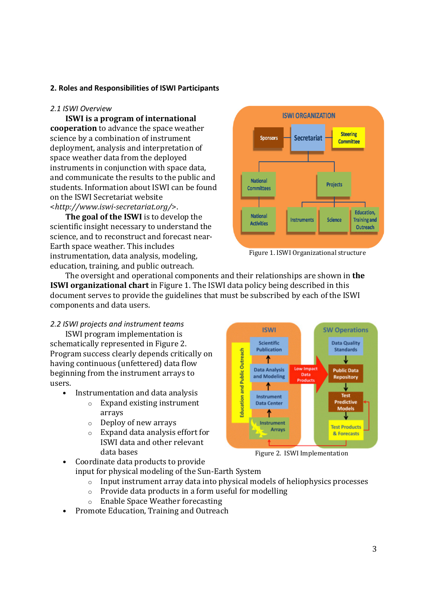## 2. Roles and Responsibilities of ISWI Participants

## 2.1 ISWI Overview

ISWI is a program of international cooperation to advance the space weather science by a combination of instrument deployment, analysis and interpretation of space weather data from the deployed instruments in conjunction with space data, and communicate the results to the public and students. Information about ISWI can be found on the ISWI Secretariat website <http://www.iswi-secretariat.org/>.

The goal of the ISWI is to develop the scientific insight necessary to understand the science, and to reconstruct and forecast near-Earth space weather. This includes instrumentation, data analysis, modeling, education, training, and public outreach.



Figure 1. ISWI Organizational structure

The oversight and operational components and their relationships are shown in **the** ISWI organizational chart in Figure 1. The ISWI data policy being described in this document serves to provide the guidelines that must be subscribed by each of the ISWI components and data users.

## 2.2 ISWI projects and instrument teams

 ISWI program implementation is schematically represented in Figure 2. Program success clearly depends critically on having continuous (unfettered) data flow beginning from the instrument arrays to users.

- Instrumentation and data analysis
	- o Expand existing instrument arrays
	- o Deploy of new arrays
	- o Expand data analysis effort for ISWI data and other relevant data bases



Figure 2. ISWI Implementation

- Coordinate data products to provide input for physical modeling of the Sun-Earth System
	- o Input instrument array data into physical models of heliophysics processes
	- o Provide data products in a form useful for modelling
	- o Enable Space Weather forecasting
- Promote Education, Training and Outreach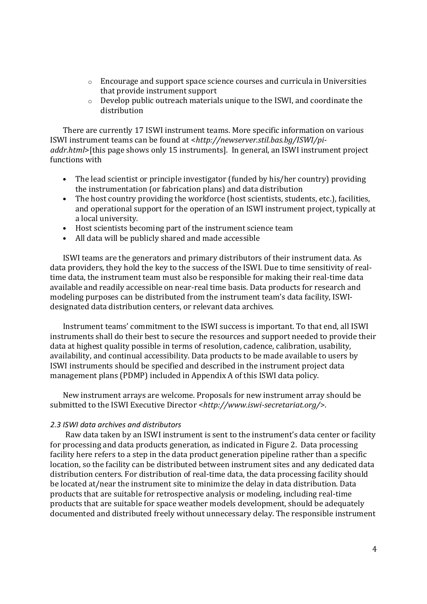- $\circ$  Encourage and support space science courses and curricula in Universities that provide instrument support
- o Develop public outreach materials unique to the ISWI, and coordinate the distribution

There are currently 17 ISWI instrument teams. More specific information on various ISWI instrument teams can be found at <http://newserver.stil.bas.bg/ISWI/piaddr.html>[this page shows only 15 instruments]. In general, an ISWI instrument project functions with

- The lead scientist or principle investigator (funded by his/her country) providing the instrumentation (or fabrication plans) and data distribution
- The host country providing the workforce (host scientists, students, etc.), facilities, and operational support for the operation of an ISWI instrument project, typically at a local university.
- Host scientists becoming part of the instrument science team
- All data will be publicly shared and made accessible

ISWI teams are the generators and primary distributors of their instrument data. As data providers, they hold the key to the success of the ISWI. Due to time sensitivity of realtime data, the instrument team must also be responsible for making their real-time data available and readily accessible on near-real time basis. Data products for research and modeling purposes can be distributed from the instrument team's data facility, ISWIdesignated data distribution centers, or relevant data archives.

Instrument teams' commitment to the ISWI success is important. To that end, all ISWI instruments shall do their best to secure the resources and support needed to provide their data at highest quality possible in terms of resolution, cadence, calibration, usability, availability, and continual accessibility. Data products to be made available to users by ISWI instruments should be specified and described in the instrument project data management plans (PDMP) included in Appendix A of this ISWI data policy.

New instrument arrays are welcome. Proposals for new instrument array should be submitted to the ISWI Executive Director <http://www.iswi-secretariat.org/>.

## 2.3 ISWI data archives and distributors

 Raw data taken by an ISWI instrument is sent to the instrument's data center or facility for processing and data products generation, as indicated in Figure 2. Data processing facility here refers to a step in the data product generation pipeline rather than a specific location, so the facility can be distributed between instrument sites and any dedicated data distribution centers. For distribution of real-time data, the data processing facility should be located at/near the instrument site to minimize the delay in data distribution. Data products that are suitable for retrospective analysis or modeling, including real-time products that are suitable for space weather models development, should be adequately documented and distributed freely without unnecessary delay. The responsible instrument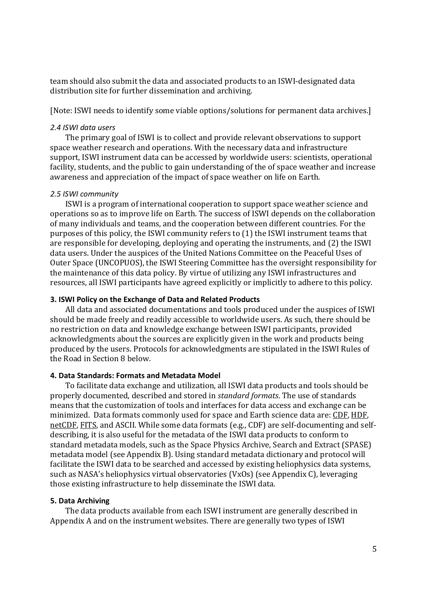team should also submit the data and associated products to an ISWI-designated data distribution site for further dissemination and archiving.

[Note: ISWI needs to identify some viable options/solutions for permanent data archives.]

#### 2.4 ISWI data users

 The primary goal of ISWI is to collect and provide relevant observations to support space weather research and operations. With the necessary data and infrastructure support, ISWI instrument data can be accessed by worldwide users: scientists, operational facility, students, and the public to gain understanding of the of space weather and increase awareness and appreciation of the impact of space weather on life on Earth.

#### 2.5 ISWI community

ISWI is a program of international cooperation to support space weather science and operations so as to improve life on Earth. The success of ISWI depends on the collaboration of many individuals and teams, and the cooperation between different countries. For the purposes of this policy, the ISWI community refers to (1) the ISWI instrument teams that are responsible for developing, deploying and operating the instruments, and (2) the ISWI data users. Under the auspices of the United Nations Committee on the Peaceful Uses of Outer Space (UNCOPUOS), the ISWI Steering Committee has the oversight responsibility for the maintenance of this data policy. By virtue of utilizing any ISWI infrastructures and resources, all ISWI participants have agreed explicitly or implicitly to adhere to this policy.

#### 3. ISWI Policy on the Exchange of Data and Related Products

 All data and associated documentations and tools produced under the auspices of ISWI should be made freely and readily accessible to worldwide users. As such, there should be no restriction on data and knowledge exchange between ISWI participants, provided acknowledgments about the sources are explicitly given in the work and products being produced by the users. Protocols for acknowledgments are stipulated in the ISWI Rules of the Road in Section 8 below.

## 4. Data Standards: Formats and Metadata Model

 To facilitate data exchange and utilization, all ISWI data products and tools should be properly documented, described and stored in standard formats. The use of standards means that the customization of tools and interfaces for data access and exchange can be minimized. Data formats commonly used for space and Earth science data are: CDF, HDF, netCDF, FITS, and ASCII. While some data formats (e.g., CDF) are self-documenting and selfdescribing, it is also useful for the metadata of the ISWI data products to conform to standard metadata models, such as the Space Physics Archive, Search and Extract (SPASE) metadata model (see Appendix B). Using standard metadata dictionary and protocol will facilitate the ISWI data to be searched and accessed by existing heliophysics data systems, such as NASA's heliophysics virtual observatories (VxOs) (see Appendix C), leveraging those existing infrastructure to help disseminate the ISWI data.

#### 5. Data Archiving

The data products available from each ISWI instrument are generally described in Appendix A and on the instrument websites. There are generally two types of ISWI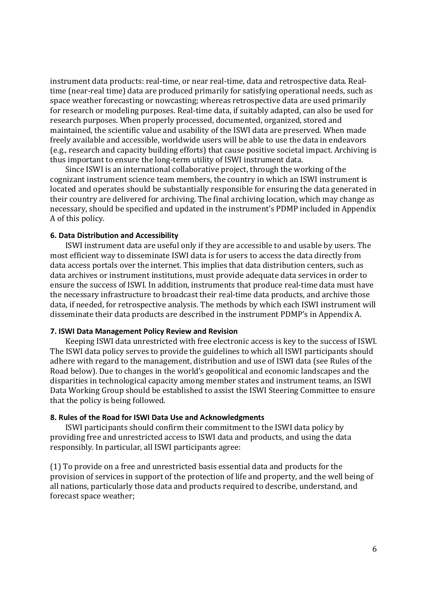instrument data products: real-time, or near real-time, data and retrospective data. Realtime (near-real time) data are produced primarily for satisfying operational needs, such as space weather forecasting or nowcasting; whereas retrospective data are used primarily for research or modeling purposes. Real-time data, if suitably adapted, can also be used for research purposes. When properly processed, documented, organized, stored and maintained, the scientific value and usability of the ISWI data are preserved. When made freely available and accessible, worldwide users will be able to use the data in endeavors (e.g., research and capacity building efforts) that cause positive societal impact. Archiving is thus important to ensure the long-term utility of ISWI instrument data.

Since ISWI is an international collaborative project, through the working of the cognizant instrument science team members, the country in which an ISWI instrument is located and operates should be substantially responsible for ensuring the data generated in their country are delivered for archiving. The final archiving location, which may change as necessary, should be specified and updated in the instrument's PDMP included in Appendix A of this policy.

## 6. Data Distribution and Accessibility

 ISWI instrument data are useful only if they are accessible to and usable by users. The most efficient way to disseminate ISWI data is for users to access the data directly from data access portals over the internet. This implies that data distribution centers, such as data archives or instrument institutions, must provide adequate data services in order to ensure the success of ISWI. In addition, instruments that produce real-time data must have the necessary infrastructure to broadcast their real-time data products, and archive those data, if needed, for retrospective analysis. The methods by which each ISWI instrument will disseminate their data products are described in the instrument PDMP's in Appendix A.

#### 7. ISWI Data Management Policy Review and Revision

 Keeping ISWI data unrestricted with free electronic access is key to the success of ISWI. The ISWI data policy serves to provide the guidelines to which all ISWI participants should adhere with regard to the management, distribution and use of ISWI data (see Rules of the Road below). Due to changes in the world's geopolitical and economic landscapes and the disparities in technological capacity among member states and instrument teams, an ISWI Data Working Group should be established to assist the ISWI Steering Committee to ensure that the policy is being followed.

## 8. Rules of the Road for ISWI Data Use and Acknowledgments

ISWI participants should confirm their commitment to the ISWI data policy by providing free and unrestricted access to ISWI data and products, and using the data responsibly. In particular, all ISWI participants agree:

(1) To provide on a free and unrestricted basis essential data and products for the provision of services in support of the protection of life and property, and the well being of all nations, particularly those data and products required to describe, understand, and forecast space weather;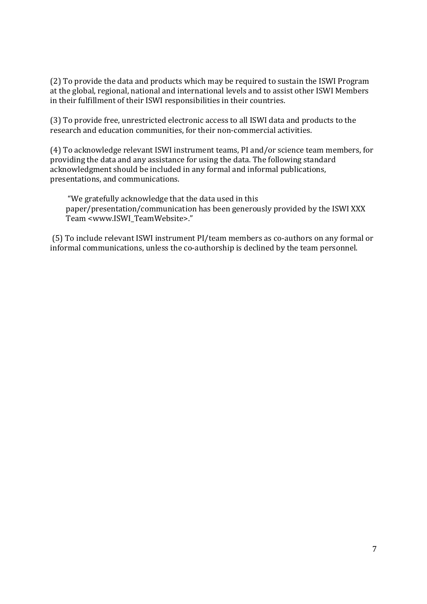(2) To provide the data and products which may be required to sustain the ISWI Program at the global, regional, national and international levels and to assist other ISWI Members in their fulfillment of their ISWI responsibilities in their countries.

(3) To provide free, unrestricted electronic access to all ISWI data and products to the research and education communities, for their non-commercial activities.

(4) To acknowledge relevant ISWI instrument teams, PI and/or science team members, for providing the data and any assistance for using the data. The following standard acknowledgment should be included in any formal and informal publications, presentations, and communications.

 "We gratefully acknowledge that the data used in this paper/presentation/communication has been generously provided by the ISWI XXX Team <www.ISWI\_TeamWebsite>."

 (5) To include relevant ISWI instrument PI/team members as co-authors on any formal or informal communications, unless the co-authorship is declined by the team personnel.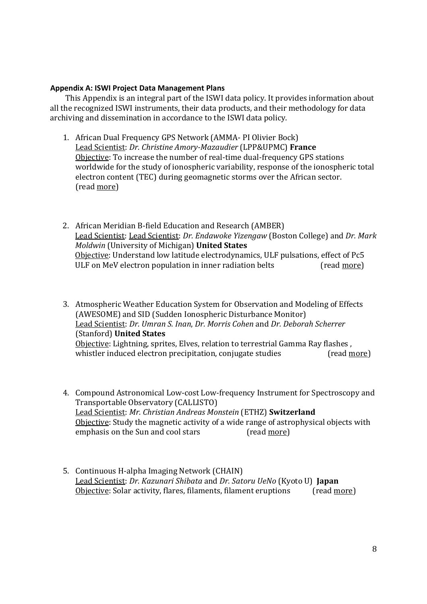## Appendix A: ISWI Project Data Management Plans

 This Appendix is an integral part of the ISWI data policy. It provides information about all the recognized ISWI instruments, their data products, and their methodology for data archiving and dissemination in accordance to the ISWI data policy.

- 1. African Dual Frequency GPS Network (AMMA- PI Olivier Bock) Lead Scientist: Dr. Christine Amory-Mazaudier (LPP&UPMC) France Objective: To increase the number of real-time dual-frequency GPS stations worldwide for the study of ionospheric variability, response of the ionospheric total electron content (TEC) during geomagnetic storms over the African sector. (read more)
- 2. African Meridian B-field Education and Research (AMBER) Lead Scientist: Lead Scientist: Dr. Endawoke Yizengaw (Boston College) and Dr. Mark Moldwin (University of Michigan) United States Objective: Understand low latitude electrodynamics, ULF pulsations, effect of Pc5 ULF on MeV electron population in inner radiation belts (read more)
- 3. Atmospheric Weather Education System for Observation and Modeling of Effects (AWESOME) and SID (Sudden Ionospheric Disturbance Monitor) Lead Scientist: Dr. Umran S. Inan, Dr. Morris Cohen and Dr. Deborah Scherrer (Stanford) United States Objective: Lightning, sprites, Elves, relation to terrestrial Gamma Ray flashes , whistler induced electron precipitation, conjugate studies (read more)
- 4. Compound Astronomical Low-cost Low-frequency Instrument for Spectroscopy and Transportable Observatory (CALLISTO) Lead Scientist: Mr. Christian Andreas Monstein (ETHZ) Switzerland Objective: Study the magnetic activity of a wide range of astrophysical objects with emphasis on the Sun and cool stars (read more)
- 5. Continuous H-alpha Imaging Network (CHAIN) Lead Scientist: Dr. Kazunari Shibata and Dr. Satoru UeNo (Kyoto U) Japan Objective: Solar activity, flares, filaments, filament eruptions (read more)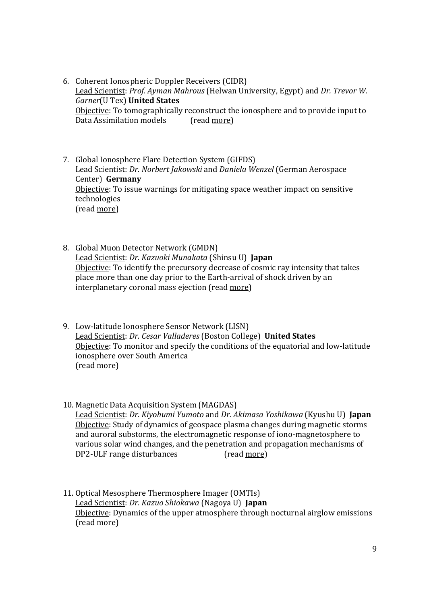- 6. Coherent Ionospheric Doppler Receivers (CIDR) Lead Scientist: Prof. Ayman Mahrous (Helwan University, Egypt) and Dr. Trevor W. Garner(U Tex) United States Objective: To tomographically reconstruct the ionosphere and to provide input to Data Assimilation models (read more)
- 7. Global Ionosphere Flare Detection System (GIFDS) Lead Scientist: Dr. Norbert Jakowski and Daniela Wenzel (German Aerospace Center) Germany Objective: To issue warnings for mitigating space weather impact on sensitive technologies (read more)
- 8. Global Muon Detector Network (GMDN) Lead Scientist: Dr. Kazuoki Munakata (Shinsu U) Japan Objective: To identify the precursory decrease of cosmic ray intensity that takes place more than one day prior to the Earth-arrival of shock driven by an interplanetary coronal mass ejection (read more)
- 9. Low-latitude Ionosphere Sensor Network (LISN) Lead Scientist: Dr. Cesar Valladeres (Boston College) United States Objective: To monitor and specify the conditions of the equatorial and low-latitude ionosphere over South America (read more)
- 10. Magnetic Data Acquisition System (MAGDAS) Lead Scientist: Dr. Kiyohumi Yumoto and Dr. Akimasa Yoshikawa (Kyushu U) Japan Objective: Study of dynamics of geospace plasma changes during magnetic storms and auroral substorms, the electromagnetic response of iono-magnetosphere to various solar wind changes, and the penetration and propagation mechanisms of DP2-ULF range disturbances (read more)
- 11. Optical Mesosphere Thermosphere Imager (OMTIs) Lead Scientist: Dr. Kazuo Shiokawa (Nagoya U) Japan Objective: Dynamics of the upper atmosphere through nocturnal airglow emissions (read more)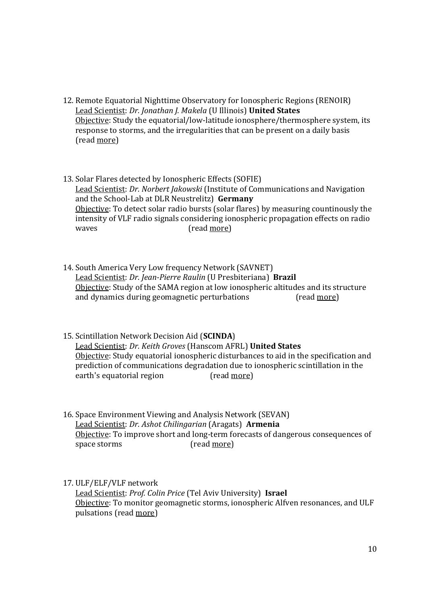- 12. Remote Equatorial Nighttime Observatory for Ionospheric Regions (RENOIR) Lead Scientist: Dr. Jonathan J. Makela (U Illinois) United States Objective: Study the equatorial/low-latitude ionosphere/thermosphere system, its response to storms, and the irregularities that can be present on a daily basis (read more)
- 13. Solar Flares detected by Ionospheric Effects (SOFIE) Lead Scientist: Dr. Norbert Jakowski (Institute of Communications and Navigation and the School-Lab at DLR Neustrelitz) Germany Objective: To detect solar radio bursts (solar flares) by measuring countinously the intensity of VLF radio signals considering ionospheric propagation effects on radio waves (read more)
- 14. South America Very Low frequency Network (SAVNET) Lead Scientist: Dr. Jean-Pierre Raulin (U Presbiteriana) Brazil Objective: Study of the SAMA region at low ionospheric altitudes and its structure and dynamics during geomagnetic perturbations (read more)
- 15. Scintillation Network Decision Aid (SCINDA) Lead Scientist: Dr. Keith Groves (Hanscom AFRL) United States Objective: Study equatorial ionospheric disturbances to aid in the specification and prediction of communications degradation due to ionospheric scintillation in the earth's equatorial region (read more)
- 16. Space Environment Viewing and Analysis Network (SEVAN) Lead Scientist: Dr. Ashot Chilingarian (Aragats) Armenia Objective: To improve short and long-term forecasts of dangerous consequences of space storms (read more)
- 17. ULF/ELF/VLF network Lead Scientist: Prof. Colin Price (Tel Aviv University) Israel Objective: To monitor geomagnetic storms, ionospheric Alfven resonances, and ULF pulsations (read more)